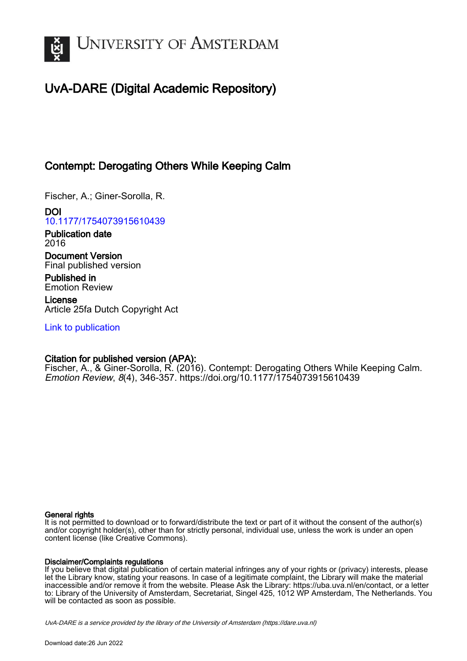

# UvA-DARE (Digital Academic Repository)

# Contempt: Derogating Others While Keeping Calm

Fischer, A.; Giner-Sorolla, R.

DOI [10.1177/1754073915610439](https://doi.org/10.1177/1754073915610439)

Publication date 2016

Document Version Final published version

Published in Emotion Review

License Article 25fa Dutch Copyright Act

[Link to publication](https://dare.uva.nl/personal/pure/en/publications/contempt-derogating-others-while-keeping-calm(fb139914-aa3c-419d-9785-f6f34acf469e).html)

# Citation for published version (APA):

Fischer, A., & Giner-Sorolla, R. (2016). Contempt: Derogating Others While Keeping Calm. Emotion Review, 8(4), 346-357. <https://doi.org/10.1177/1754073915610439>

## General rights

It is not permitted to download or to forward/distribute the text or part of it without the consent of the author(s) and/or copyright holder(s), other than for strictly personal, individual use, unless the work is under an open content license (like Creative Commons).

## Disclaimer/Complaints regulations

If you believe that digital publication of certain material infringes any of your rights or (privacy) interests, please let the Library know, stating your reasons. In case of a legitimate complaint, the Library will make the material inaccessible and/or remove it from the website. Please Ask the Library: https://uba.uva.nl/en/contact, or a letter to: Library of the University of Amsterdam, Secretariat, Singel 425, 1012 WP Amsterdam, The Netherlands. You will be contacted as soon as possible.

UvA-DARE is a service provided by the library of the University of Amsterdam (http*s*://dare.uva.nl)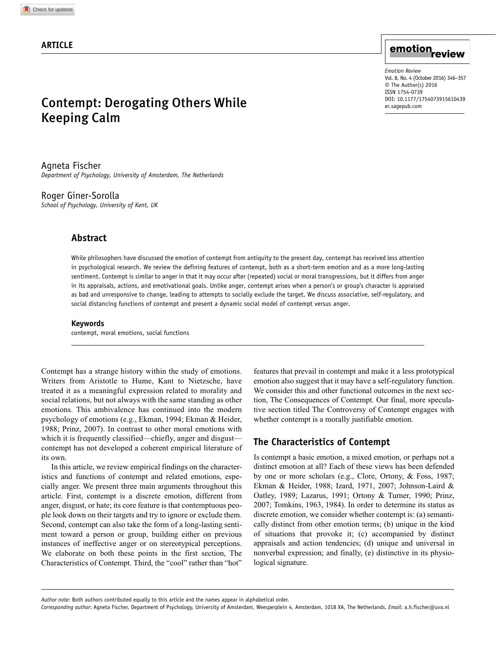#### **Article**

# emotion<sub>review</sub>

*Emotion Review* Vol. 8, No. 4 (October 2016) 346–357 © The Author(s) 2016 ISSN 1754-0739 DOI: 10.1177/1754073915610439 er.sagepub.com

# Contempt: Derogating Others While Keeping Calm

Agneta Fischer *Department of Psychology, University of Amsterdam, The Netherlands*

Roger Giner-Sorolla *School of Psychology, University of Kent, UK*

## **Abstract**

While philosophers have discussed the emotion of contempt from antiquity to the present day, contempt has received less attention in psychological research. We review the defining features of contempt, both as a short-term emotion and as a more long-lasting sentiment. Contempt is similar to anger in that it may occur after (repeated) social or moral transgressions, but it differs from anger in its appraisals, actions, and emotivational goals. Unlike anger, contempt arises when a person's or group's character is appraised as bad and unresponsive to change, leading to attempts to socially exclude the target. We discuss associative, self-regulatory, and social distancing functions of contempt and present a dynamic social model of contempt versus anger.

#### **Keywords**

contempt, moral emotions, social functions

Contempt has a strange history within the study of emotions. Writers from Aristotle to Hume, Kant to Nietzsche, have treated it as a meaningful expression related to morality and social relations, but not always with the same standing as other emotions. This ambivalence has continued into the modern psychology of emotions (e.g., Ekman, 1994; Ekman & Heider, 1988; Prinz, 2007). In contrast to other moral emotions with which it is frequently classified—chiefly, anger and disgustcontempt has not developed a coherent empirical literature of its own.

In this article, we review empirical findings on the characteristics and functions of contempt and related emotions, especially anger. We present three main arguments throughout this article. First, contempt is a discrete emotion, different from anger, disgust, or hate; its core feature is that contemptuous people look down on their targets and try to ignore or exclude them. Second, contempt can also take the form of a long-lasting sentiment toward a person or group, building either on previous instances of ineffective anger or on stereotypical perceptions. We elaborate on both these points in the first section, The Characteristics of Contempt. Third, the "cool" rather than "hot"

features that prevail in contempt and make it a less prototypical emotion also suggest that it may have a self-regulatory function. We consider this and other functional outcomes in the next section, The Consequences of Contempt. Our final, more speculative section titled The Controversy of Contempt engages with whether contempt is a morally justifiable emotion.

# **The Characteristics of Contempt**

Is contempt a basic emotion, a mixed emotion, or perhaps not a distinct emotion at all? Each of these views has been defended by one or more scholars (e.g., Clore, Ortony, & Foss, 1987; Ekman & Heider, 1988; Izard, 1971, 2007; Johnson-Laird & Oatley, 1989; Lazarus, 1991; Ortony & Turner, 1990; Prinz, 2007; Tomkins, 1963, 1984). In order to determine its status as discrete emotion, we consider whether contempt is: (a) semantically distinct from other emotion terms; (b) unique in the kind of situations that provoke it; (c) accompanied by distinct appraisals and action tendencies; (d) unique and universal in nonverbal expression; and finally, (e) distinctive in its physiological signature.

*Author note*: Both authors contributed equally to this article and the names appear in alphabetical order.

*Corresponding author*: Agneta Fischer, Department of Psychology, University of Amsterdam, Weesperplein 4, Amsterdam, 1018 XA, The Netherlands. *Email*: [a.h.fischer@uva.nl](mailto:a.h.fischer@uva.nl)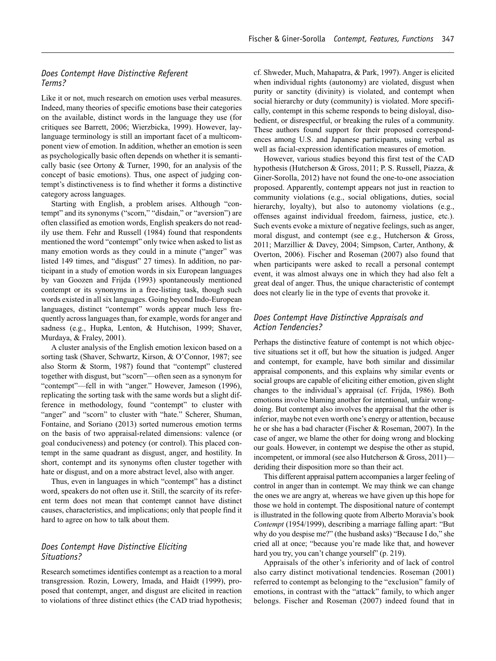### *Does Contempt Have Distinctive Referent Terms?*

Like it or not, much research on emotion uses verbal measures. Indeed, many theories of specific emotions base their categories on the available, distinct words in the language they use (for critiques see Barrett, 2006; Wierzbicka, 1999). However, laylanguage terminology is still an important facet of a multicomponent view of emotion. In addition, whether an emotion is seen as psychologically basic often depends on whether it is semantically basic (see Ortony & Turner, 1990, for an analysis of the concept of basic emotions). Thus, one aspect of judging contempt's distinctiveness is to find whether it forms a distinctive category across languages.

Starting with English, a problem arises. Although "contempt" and its synonyms ("scorn," "disdain," or "aversion") are often classified as emotion words, English speakers do not readily use them. Fehr and Russell (1984) found that respondents mentioned the word "contempt" only twice when asked to list as many emotion words as they could in a minute ("anger" was listed 149 times, and "disgust" 27 times). In addition, no participant in a study of emotion words in six European languages by van Goozen and Frijda (1993) spontaneously mentioned contempt or its synonyms in a free-listing task, though such words existed in all six languages. Going beyond Indo-European languages, distinct "contempt" words appear much less frequently across languages than, for example, words for anger and sadness (e.g., Hupka, Lenton, & Hutchison, 1999; Shaver, Murdaya, & Fraley, 2001).

A cluster analysis of the English emotion lexicon based on a sorting task (Shaver, Schwartz, Kirson, & O'Connor, 1987; see also Storm & Storm, 1987) found that "contempt" clustered together with disgust, but "scorn"—often seen as a synonym for "contempt"—fell in with "anger." However, Jameson (1996), replicating the sorting task with the same words but a slight difference in methodology, found "contempt" to cluster with "anger" and "scorn" to cluster with "hate." Scherer, Shuman, Fontaine, and Soriano (2013) sorted numerous emotion terms on the basis of two appraisal-related dimensions: valence (or goal conduciveness) and potency (or control). This placed contempt in the same quadrant as disgust, anger, and hostility. In short, contempt and its synonyms often cluster together with hate or disgust, and on a more abstract level, also with anger.

Thus, even in languages in which "contempt" has a distinct word, speakers do not often use it. Still, the scarcity of its referent term does not mean that contempt cannot have distinct causes, characteristics, and implications; only that people find it hard to agree on how to talk about them.

# *Does Contempt Have Distinctive Eliciting Situations?*

Research sometimes identifies contempt as a reaction to a moral transgression. Rozin, Lowery, Imada, and Haidt (1999), proposed that contempt, anger, and disgust are elicited in reaction to violations of three distinct ethics (the CAD triad hypothesis; cf. Shweder, Much, Mahapatra, & Park, 1997). Anger is elicited when individual rights (autonomy) are violated, disgust when purity or sanctity (divinity) is violated, and contempt when social hierarchy or duty (community) is violated. More specifically, contempt in this scheme responds to being disloyal, disobedient, or disrespectful, or breaking the rules of a community. These authors found support for their proposed correspondences among U.S. and Japanese participants, using verbal as well as facial-expression identification measures of emotion.

However, various studies beyond this first test of the CAD hypothesis (Hutcherson & Gross, 2011; P. S. Russell, Piazza, & Giner-Sorolla, 2012) have not found the one-to-one association proposed. Apparently, contempt appears not just in reaction to community violations (e.g., social obligations, duties, social hierarchy, loyalty), but also to autonomy violations (e.g., offenses against individual freedom, fairness, justice, etc.). Such events evoke a mixture of negative feelings, such as anger, moral disgust, and contempt (see e.g., Hutcherson & Gross, 2011; Marzillier & Davey, 2004; Simpson, Carter, Anthony, & Overton, 2006). Fischer and Roseman (2007) also found that when participants were asked to recall a personal contempt event, it was almost always one in which they had also felt a great deal of anger. Thus, the unique characteristic of contempt does not clearly lie in the type of events that provoke it.

#### *Does Contempt Have Distinctive Appraisals and Action Tendencies?*

Perhaps the distinctive feature of contempt is not which objective situations set it off, but how the situation is judged. Anger and contempt, for example, have both similar and dissimilar appraisal components, and this explains why similar events or social groups are capable of eliciting either emotion, given slight changes to the individual's appraisal (cf. Frijda, 1986). Both emotions involve blaming another for intentional, unfair wrongdoing. But contempt also involves the appraisal that the other is inferior, maybe not even worth one's energy or attention, because he or she has a bad character (Fischer & Roseman, 2007). In the case of anger, we blame the other for doing wrong and blocking our goals. However, in contempt we despise the other as stupid, incompetent, or immoral (see also Hutcherson & Gross, 2011) deriding their disposition more so than their act.

This different appraisal pattern accompanies a larger feeling of control in anger than in contempt. We may think we can change the ones we are angry at, whereas we have given up this hope for those we hold in contempt. The dispositional nature of contempt is illustrated in the following quote from Alberto Moravia's book *Contempt* (1954/1999), describing a marriage falling apart: "But why do you despise me?" (the husband asks) "Because I do," she cried all at once; "because you're made like that, and however hard you try, you can't change yourself" (p. 219).

Appraisals of the other's inferiority and of lack of control also carry distinct motivational tendencies. Roseman (2001) referred to contempt as belonging to the "exclusion" family of emotions, in contrast with the "attack" family, to which anger belongs. Fischer and Roseman (2007) indeed found that in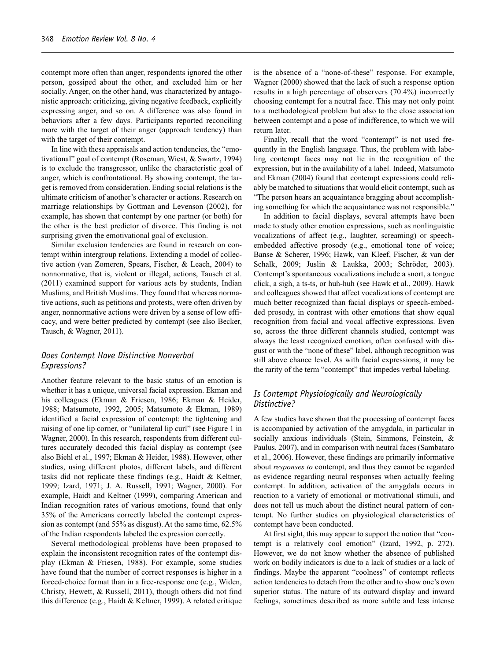contempt more often than anger, respondents ignored the other person, gossiped about the other, and excluded him or her socially. Anger, on the other hand, was characterized by antagonistic approach: criticizing, giving negative feedback, explicitly expressing anger, and so on. A difference was also found in behaviors after a few days. Participants reported reconciling more with the target of their anger (approach tendency) than with the target of their contempt.

In line with these appraisals and action tendencies, the "emotivational" goal of contempt (Roseman, Wiest, & Swartz, 1994) is to exclude the transgressor, unlike the characteristic goal of anger, which is confrontational. By showing contempt, the target is removed from consideration. Ending social relations is the ultimate criticism of another's character or actions. Research on marriage relationships by Gottman and Levenson (2002), for example, has shown that contempt by one partner (or both) for the other is the best predictor of divorce. This finding is not surprising given the emotivational goal of exclusion.

Similar exclusion tendencies are found in research on contempt within intergroup relations. Extending a model of collective action (van Zomeren, Spears, Fischer, & Leach, 2004) to nonnormative, that is, violent or illegal, actions, Tausch et al. (2011) examined support for various acts by students, Indian Muslims, and British Muslims. They found that whereas normative actions, such as petitions and protests, were often driven by anger, nonnormative actions were driven by a sense of low efficacy, and were better predicted by contempt (see also Becker, Tausch, & Wagner, 2011).

## *Does Contempt Have Distinctive Nonverbal Expressions?*

Another feature relevant to the basic status of an emotion is whether it has a unique, universal facial expression. Ekman and his colleagues (Ekman & Friesen, 1986; Ekman & Heider, 1988; Matsumoto, 1992, 2005; Matsumoto & Ekman, 1989) identified a facial expression of contempt: the tightening and raising of one lip corner, or "unilateral lip curl" (see Figure 1 in Wagner, 2000). In this research, respondents from different cultures accurately decoded this facial display as contempt (see also Biehl et al., 1997; Ekman & Heider, 1988). However, other studies, using different photos, different labels, and different tasks did not replicate these findings (e.g., Haidt & Keltner, 1999; Izard, 1971; J. A. Russell, 1991; Wagner, 2000). For example, Haidt and Keltner (1999), comparing American and Indian recognition rates of various emotions, found that only 35% of the Americans correctly labeled the contempt expression as contempt (and 55% as disgust). At the same time, 62.5% of the Indian respondents labeled the expression correctly.

Several methodological problems have been proposed to explain the inconsistent recognition rates of the contempt display (Ekman & Friesen, 1988). For example, some studies have found that the number of correct responses is higher in a forced-choice format than in a free-response one (e.g., Widen, Christy, Hewett, & Russell, 2011), though others did not find this difference (e.g., Haidt & Keltner, 1999). A related critique is the absence of a "none-of-these" response. For example, Wagner (2000) showed that the lack of such a response option results in a high percentage of observers (70.4%) incorrectly choosing contempt for a neutral face. This may not only point to a methodological problem but also to the close association between contempt and a pose of indifference, to which we will return later.

Finally, recall that the word "contempt" is not used frequently in the English language. Thus, the problem with labeling contempt faces may not lie in the recognition of the expression, but in the availability of a label. Indeed, Matsumoto and Ekman (2004) found that contempt expressions could reliably be matched to situations that would elicit contempt, such as "The person hears an acquaintance bragging about accomplishing something for which the acquaintance was not responsible."

In addition to facial displays, several attempts have been made to study other emotion expressions, such as nonlinguistic vocalizations of affect (e.g., laughter, screaming) or speechembedded affective prosody (e.g., emotional tone of voice; Banse & Scherer, 1996; Hawk, van Kleef, Fischer, & van der Schalk, 2009; Juslin & Laukka, 2003; Schröder, 2003). Contempt's spontaneous vocalizations include a snort, a tongue click, a sigh, a ts-ts, or huh-huh (see Hawk et al., 2009). Hawk and colleagues showed that affect vocalizations of contempt are much better recognized than facial displays or speech-embedded prosody, in contrast with other emotions that show equal recognition from facial and vocal affective expressions. Even so, across the three different channels studied, contempt was always the least recognized emotion, often confused with disgust or with the "none of these" label, although recognition was still above chance level. As with facial expressions, it may be the rarity of the term "contempt" that impedes verbal labeling.

# *Is Contempt Physiologically and Neurologically Distinctive?*

A few studies have shown that the processing of contempt faces is accompanied by activation of the amygdala, in particular in socially anxious individuals (Stein, Simmons, Feinstein, & Paulus, 2007), and in comparison with neutral faces (Sambataro et al., 2006). However, these findings are primarily informative about *responses to* contempt, and thus they cannot be regarded as evidence regarding neural responses when actually feeling contempt. In addition, activation of the amygdala occurs in reaction to a variety of emotional or motivational stimuli, and does not tell us much about the distinct neural pattern of contempt. No further studies on physiological characteristics of contempt have been conducted.

At first sight, this may appear to support the notion that "contempt is a relatively cool emotion" (Izard, 1992, p. 272). However, we do not know whether the absence of published work on bodily indicators is due to a lack of studies or a lack of findings. Maybe the apparent "coolness" of contempt reflects action tendencies to detach from the other and to show one's own superior status. The nature of its outward display and inward feelings, sometimes described as more subtle and less intense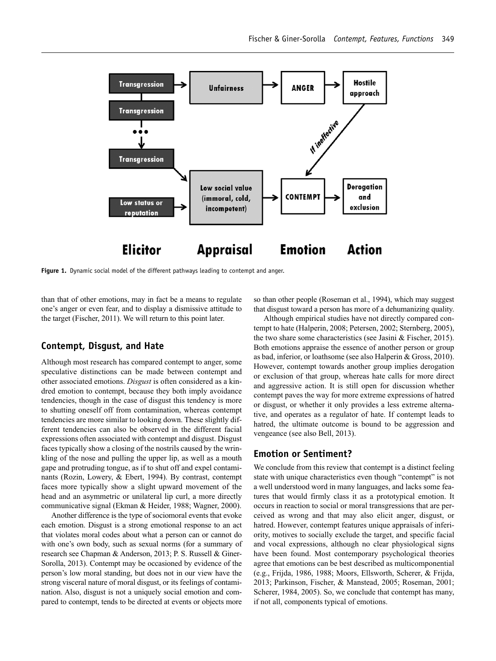

**Figure 1.** Dynamic social model of the different pathways leading to contempt and anger.

than that of other emotions, may in fact be a means to regulate one's anger or even fear, and to display a dismissive attitude to the target (Fischer, 2011). We will return to this point later.

# **Contempt, Disgust, and Hate**

Although most research has compared contempt to anger, some speculative distinctions can be made between contempt and other associated emotions. *Disgust* is often considered as a kindred emotion to contempt, because they both imply avoidance tendencies, though in the case of disgust this tendency is more to shutting oneself off from contamination, whereas contempt tendencies are more similar to looking down. These slightly different tendencies can also be observed in the different facial expressions often associated with contempt and disgust. Disgust faces typically show a closing of the nostrils caused by the wrinkling of the nose and pulling the upper lip, as well as a mouth gape and protruding tongue, as if to shut off and expel contaminants (Rozin, Lowery, & Ebert, 1994). By contrast, contempt faces more typically show a slight upward movement of the head and an asymmetric or unilateral lip curl, a more directly communicative signal (Ekman & Heider, 1988; Wagner, 2000).

Another difference is the type of sociomoral events that evoke each emotion. Disgust is a strong emotional response to an act that violates moral codes about what a person can or cannot do with one's own body, such as sexual norms (for a summary of research see Chapman & Anderson, 2013; P. S. Russell & Giner-Sorolla, 2013). Contempt may be occasioned by evidence of the person's low moral standing, but does not in our view have the strong visceral nature of moral disgust, or its feelings of contamination. Also, disgust is not a uniquely social emotion and compared to contempt, tends to be directed at events or objects more so than other people (Roseman et al., 1994), which may suggest that disgust toward a person has more of a dehumanizing quality.

Although empirical studies have not directly compared contempt to hate (Halperin, 2008; Petersen, 2002; Sternberg, 2005), the two share some characteristics (see Jasini & Fischer, 2015). Both emotions appraise the essence of another person or group as bad, inferior, or loathsome (see also Halperin & Gross, 2010). However, contempt towards another group implies derogation or exclusion of that group, whereas hate calls for more direct and aggressive action. It is still open for discussion whether contempt paves the way for more extreme expressions of hatred or disgust, or whether it only provides a less extreme alternative, and operates as a regulator of hate. If contempt leads to hatred, the ultimate outcome is bound to be aggression and vengeance (see also Bell, 2013).

# **Emotion or Sentiment?**

We conclude from this review that contempt is a distinct feeling state with unique characteristics even though "contempt" is not a well understood word in many languages, and lacks some features that would firmly class it as a prototypical emotion. It occurs in reaction to social or moral transgressions that are perceived as wrong and that may also elicit anger, disgust, or hatred. However, contempt features unique appraisals of inferiority, motives to socially exclude the target, and specific facial and vocal expressions, although no clear physiological signs have been found. Most contemporary psychological theories agree that emotions can be best described as multicomponential (e.g., Frijda, 1986, 1988; Moors, Ellsworth, Scherer, & Frijda, 2013; Parkinson, Fischer, & Manstead, 2005; Roseman, 2001; Scherer, 1984, 2005). So, we conclude that contempt has many, if not all, components typical of emotions.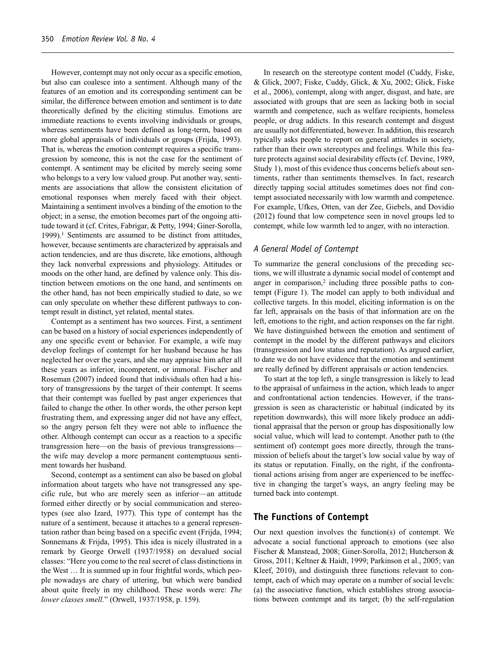However, contempt may not only occur as a specific emotion, but also can coalesce into a sentiment. Although many of the features of an emotion and its corresponding sentiment can be similar, the difference between emotion and sentiment is to date theoretically defined by the eliciting stimulus. Emotions are immediate reactions to events involving individuals or groups, whereas sentiments have been defined as long-term, based on more global appraisals of individuals or groups (Frijda, 1993). That is, whereas the emotion contempt requires a specific transgression by someone, this is not the case for the sentiment of contempt. A sentiment may be elicited by merely seeing some who belongs to a very low valued group. Put another way, sentiments are associations that allow the consistent elicitation of emotional responses when merely faced with their object. Maintaining a sentiment involves a binding of the emotion to the object; in a sense, the emotion becomes part of the ongoing attitude toward it (cf. Crites, Fabrigar, & Petty, 1994; Giner-Sorolla, 1999).<sup>1</sup> Sentiments are assumed to be distinct from attitudes, however, because sentiments are characterized by appraisals and action tendencies, and are thus discrete, like emotions, although they lack nonverbal expressions and physiology. Attitudes or moods on the other hand, are defined by valence only. This distinction between emotions on the one hand, and sentiments on the other hand, has not been empirically studied to date, so we can only speculate on whether these different pathways to contempt result in distinct, yet related, mental states.

Contempt as a sentiment has two sources. First, a sentiment can be based on a history of social experiences independently of any one specific event or behavior. For example, a wife may develop feelings of contempt for her husband because he has neglected her over the years, and she may appraise him after all these years as inferior, incompetent, or immoral. Fischer and Roseman (2007) indeed found that individuals often had a history of transgressions by the target of their contempt. It seems that their contempt was fuelled by past anger experiences that failed to change the other. In other words, the other person kept frustrating them, and expressing anger did not have any effect, so the angry person felt they were not able to influence the other. Although contempt can occur as a reaction to a specific transgression here—on the basis of previous transgressions the wife may develop a more permanent contemptuous sentiment towards her husband.

Second, contempt as a sentiment can also be based on global information about targets who have not transgressed any specific rule, but who are merely seen as inferior—an attitude formed either directly or by social communication and stereotypes (see also Izard, 1977). This type of contempt has the nature of a sentiment, because it attaches to a general representation rather than being based on a specific event (Frijda, 1994; Sonnemans & Frijda, 1995). This idea is nicely illustrated in a remark by George Orwell (1937/1958) on devalued social classes: "Here you come to the real secret of class distinctions in the West … It is summed up in four frightful words, which people nowadays are chary of uttering, but which were bandied about quite freely in my childhood. These words were: *The lower classes smell*." (Orwell, 1937/1958, p. 159).

In research on the stereotype content model (Cuddy, Fiske, & Glick, 2007; Fiske, Cuddy, Glick, & Xu, 2002; Glick, Fiske et al., 2006), contempt, along with anger, disgust, and hate, are associated with groups that are seen as lacking both in social warmth and competence, such as welfare recipients, homeless people, or drug addicts. In this research contempt and disgust are usually not differentiated, however. In addition, this research typically asks people to report on general attitudes in society, rather than their own stereotypes and feelings. While this feature protects against social desirability effects (cf. Devine, 1989, Study 1), most of this evidence thus concerns beliefs about sentiments, rather than sentiments themselves. In fact, research directly tapping social attitudes sometimes does not find contempt associated necessarily with low warmth and competence. For example, Ufkes, Otten, van der Zee, Giebels, and Dovidio (2012) found that low competence seen in novel groups led to contempt, while low warmth led to anger, with no interaction.

#### *A General Model of Contempt*

To summarize the general conclusions of the preceding sections, we will illustrate a dynamic social model of contempt and anger in comparison,<sup>2</sup> including three possible paths to contempt (Figure 1). The model can apply to both individual and collective targets. In this model, eliciting information is on the far left, appraisals on the basis of that information are on the left, emotions to the right, and action responses on the far right. We have distinguished between the emotion and sentiment of contempt in the model by the different pathways and elicitors (transgression and low status and reputation). As argued earlier, to date we do not have evidence that the emotion and sentiment are really defined by different appraisals or action tendencies.

To start at the top left, a single transgression is likely to lead to the appraisal of unfairness in the action, which leads to anger and confrontational action tendencies. However, if the transgression is seen as characteristic or habitual (indicated by its repetition downwards), this will more likely produce an additional appraisal that the person or group has dispositionally low social value, which will lead to contempt. Another path to (the sentiment of) contempt goes more directly, through the transmission of beliefs about the target's low social value by way of its status or reputation. Finally, on the right, if the confrontational actions arising from anger are experienced to be ineffective in changing the target's ways, an angry feeling may be turned back into contempt.

# **The Functions of Contempt**

Our next question involves the function(s) of contempt. We advocate a social functional approach to emotions (see also Fischer & Manstead, 2008; Giner-Sorolla, 2012; Hutcherson & Gross, 2011; Keltner & Haidt, 1999; Parkinson et al., 2005; van Kleef, 2010), and distinguish three functions relevant to contempt, each of which may operate on a number of social levels: (a) the associative function, which establishes strong associations between contempt and its target; (b) the self-regulation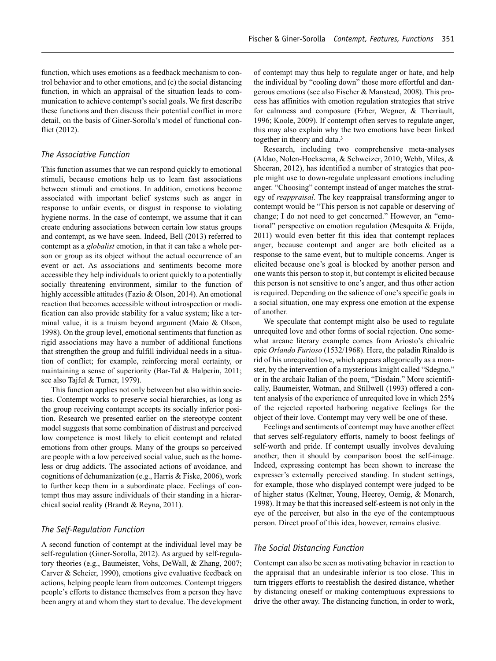function, which uses emotions as a feedback mechanism to control behavior and to other emotions, and (c) the social distancing function, in which an appraisal of the situation leads to communication to achieve contempt's social goals. We first describe these functions and then discuss their potential conflict in more detail, on the basis of Giner-Sorolla's model of functional conflict (2012).

## *The Associative Function*

This function assumes that we can respond quickly to emotional stimuli, because emotions help us to learn fast associations between stimuli and emotions. In addition, emotions become associated with important belief systems such as anger in response to unfair events, or disgust in response to violating hygiene norms. In the case of contempt, we assume that it can create enduring associations between certain low status groups and contempt, as we have seen. Indeed, Bell (2013) referred to contempt as a *globalist* emotion, in that it can take a whole person or group as its object without the actual occurrence of an event or act. As associations and sentiments become more accessible they help individuals to orient quickly to a potentially socially threatening environment, similar to the function of highly accessible attitudes (Fazio & Olson, 2014). An emotional reaction that becomes accessible without introspection or modification can also provide stability for a value system; like a terminal value, it is a truism beyond argument (Maio & Olson, 1998). On the group level, emotional sentiments that function as rigid associations may have a number of additional functions that strengthen the group and fulfill individual needs in a situation of conflict; for example, reinforcing moral certainty, or maintaining a sense of superiority (Bar-Tal & Halperin, 2011; see also Tajfel & Turner, 1979).

This function applies not only between but also within societies. Contempt works to preserve social hierarchies, as long as the group receiving contempt accepts its socially inferior position. Research we presented earlier on the stereotype content model suggests that some combination of distrust and perceived low competence is most likely to elicit contempt and related emotions from other groups. Many of the groups so perceived are people with a low perceived social value, such as the homeless or drug addicts. The associated actions of avoidance, and cognitions of dehumanization (e.g., Harris & Fiske, 2006), work to further keep them in a subordinate place. Feelings of contempt thus may assure individuals of their standing in a hierarchical social reality (Brandt & Reyna, 2011).

#### *The Self-Regulation Function*

A second function of contempt at the individual level may be self-regulation (Giner-Sorolla, 2012). As argued by self-regulatory theories (e.g., Baumeister, Vohs, DeWall, & Zhang, 2007; Carver & Scheier, 1990), emotions give evaluative feedback on actions, helping people learn from outcomes. Contempt triggers people's efforts to distance themselves from a person they have been angry at and whom they start to devalue. The development

of contempt may thus help to regulate anger or hate, and help the individual by "cooling down" those more effortful and dangerous emotions (see also Fischer & Manstead, 2008). This process has affinities with emotion regulation strategies that strive for calmness and composure (Erber, Wegner, & Therriault, 1996; Koole, 2009). If contempt often serves to regulate anger, this may also explain why the two emotions have been linked together in theory and data.3

Research, including two comprehensive meta-analyses (Aldao, Nolen-Hoeksema, & Schweizer, 2010; Webb, Miles, & Sheeran, 2012), has identified a number of strategies that people might use to down-regulate unpleasant emotions including anger. "Choosing" contempt instead of anger matches the strategy of *reappraisal*. The key reappraisal transforming anger to contempt would be "This person is not capable or deserving of change; I do not need to get concerned." However, an "emotional" perspective on emotion regulation (Mesquita & Frijda, 2011) would even better fit this idea that contempt replaces anger, because contempt and anger are both elicited as a response to the same event, but to multiple concerns. Anger is elicited because one's goal is blocked by another person and one wants this person to stop it, but contempt is elicited because this person is not sensitive to one's anger, and thus other action is required. Depending on the salience of one's specific goals in a social situation, one may express one emotion at the expense of another.

We speculate that contempt might also be used to regulate unrequited love and other forms of social rejection. One somewhat arcane literary example comes from Ariosto's chivalric epic *Orlando Furioso* (1532/1968). Here, the paladin Rinaldo is rid of his unrequited love, which appears allegorically as a monster, by the intervention of a mysterious knight called "Sdegno," or in the archaic Italian of the poem, "Disdain." More scientifically, Baumeister, Wotman, and Stillwell (1993) offered a content analysis of the experience of unrequited love in which 25% of the rejected reported harboring negative feelings for the object of their love. Contempt may very well be one of these.

Feelings and sentiments of contempt may have another effect that serves self-regulatory efforts, namely to boost feelings of self-worth and pride. If contempt usually involves devaluing another, then it should by comparison boost the self-image. Indeed, expressing contempt has been shown to increase the expresser's externally perceived standing. In student settings, for example, those who displayed contempt were judged to be of higher status (Keltner, Young, Heerey, Oemig, & Monarch, 1998). It may be that this increased self-esteem is not only in the eye of the perceiver, but also in the eye of the contemptuous person. Direct proof of this idea, however, remains elusive.

#### *The Social Distancing Function*

Contempt can also be seen as motivating behavior in reaction to the appraisal that an undesirable inferior is too close. This in turn triggers efforts to reestablish the desired distance, whether by distancing oneself or making contemptuous expressions to drive the other away. The distancing function, in order to work,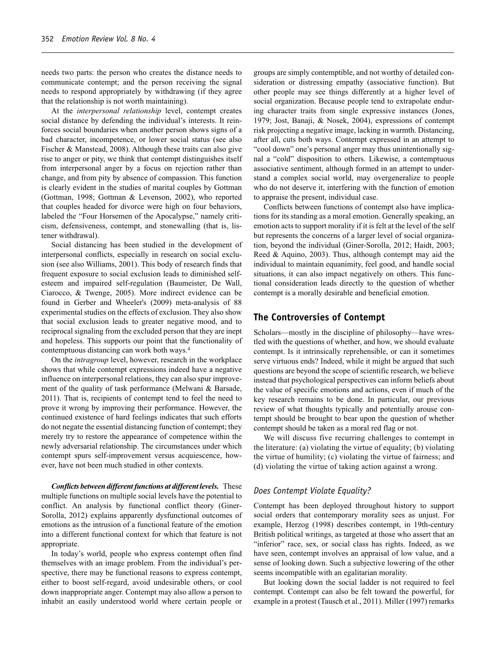needs two parts: the person who creates the distance needs to communicate contempt; and the person receiving the signal needs to respond appropriately by withdrawing (if they agree that the relationship is not worth maintaining).

At the *interpersonal relationship* level, contempt creates social distance by defending the individual's interests. It reinforces social boundaries when another person shows signs of a bad character, incompetence, or lower social status (see also Fischer & Manstead, 2008). Although these traits can also give rise to anger or pity, we think that contempt distinguishes itself from interpersonal anger by a focus on rejection rather than change, and from pity by absence of compassion. This function is clearly evident in the studies of marital couples by Gottman (Gottman, 1998; Gottman & Levenson, 2002), who reported that couples headed for divorce were high on four behaviors, labeled the "Four Horsemen of the Apocalypse," namely criticism, defensiveness, contempt, and stonewalling (that is, listener withdrawal).

Social distancing has been studied in the development of interpersonal conflicts, especially in research on social exclusion (see also Williams, 2001). This body of research finds that frequent exposure to social exclusion leads to diminished selfesteem and impaired self-regulation (Baumeister, De Wall, Ciarocco, & Twenge, 2005). More indirect evidence can be found in Gerber and Wheeler's (2009) meta-analysis of 88 experimental studies on the effects of exclusion. They also show that social exclusion leads to greater negative mood, and to reciprocal signaling from the excluded person that they are inept and hopeless. This supports our point that the functionality of contemptuous distancing can work both ways.4

On the *intragroup* level, however, research in the workplace shows that while contempt expressions indeed have a negative influence on interpersonal relations, they can also spur improvement of the quality of task performance (Melwani & Barsade, 2011). That is, recipients of contempt tend to feel the need to prove it wrong by improving their performance. However, the continued existence of hard feelings indicates that such efforts do not negate the essential distancing function of contempt; they merely try to restore the appearance of competence within the newly adversarial relationship. The circumstances under which contempt spurs self-improvement versus acquiescence, however, have not been much studied in other contexts.

*Conflicts between different functions at different levels.* These multiple functions on multiple social levels have the potential to conflict. An analysis by functional conflict theory (Giner-Sorolla, 2012) explains apparently dysfunctional outcomes of emotions as the intrusion of a functional feature of the emotion into a different functional context for which that feature is not appropriate.

In today's world, people who express contempt often find themselves with an image problem. From the individual's perspective, there may be functional reasons to express contempt, either to boost self-regard, avoid undesirable others, or cool down inappropriate anger. Contempt may also allow a person to inhabit an easily understood world where certain people or groups are simply contemptible, and not worthy of detailed consideration or distressing empathy (associative function). But other people may see things differently at a higher level of social organization. Because people tend to extrapolate enduring character traits from single expressive instances (Jones, 1979; Jost, Banaji, & Nosek, 2004), expressions of contempt risk projecting a negative image, lacking in warmth. Distancing, after all, cuts both ways. Contempt expressed in an attempt to "cool down" one's personal anger may thus unintentionally signal a "cold" disposition to others. Likewise, a contemptuous associative sentiment, although formed in an attempt to understand a complex social world, may overgeneralize to people who do not deserve it, interfering with the function of emotion to appraise the present, individual case.

Conflicts between functions of contempt also have implications for its standing as a moral emotion. Generally speaking, an emotion acts to support morality if it is felt at the level of the self but represents the concerns of a larger level of social organization, beyond the individual (Giner-Sorolla, 2012; Haidt, 2003; Reed & Aquino, 2003). Thus, although contempt may aid the individual to maintain equanimity, feel good, and handle social situations, it can also impact negatively on others. This functional consideration leads directly to the question of whether contempt is a morally desirable and beneficial emotion.

## **The Controversies of Contempt**

Scholars—mostly in the discipline of philosophy—have wrestled with the questions of whether, and how, we should evaluate contempt. Is it intrinsically reprehensible, or can it sometimes serve virtuous ends? Indeed, while it might be argued that such questions are beyond the scope of scientific research, we believe instead that psychological perspectives can inform beliefs about the value of specific emotions and actions, even if much of the key research remains to be done. In particular, our previous review of what thoughts typically and potentially arouse contempt should be brought to bear upon the question of whether contempt should be taken as a moral red flag or not.

We will discuss five recurring challenges to contempt in the literature: (a) violating the virtue of equality; (b) violating the virtue of humility; (c) violating the virtue of fairness; and (d) violating the virtue of taking action against a wrong.

#### *Does Contempt Violate Equality?*

Contempt has been deployed throughout history to support social orders that contemporary morality sees as unjust. For example, Herzog (1998) describes contempt, in 19th-century British political writings, as targeted at those who assert that an "inferior" race, sex, or social class has rights. Indeed, as we have seen, contempt involves an appraisal of low value, and a sense of looking down. Such a subjective lowering of the other seems incompatible with an egalitarian morality.

But looking down the social ladder is not required to feel contempt. Contempt can also be felt toward the powerful, for example in a protest (Tausch et al., 2011). Miller (1997) remarks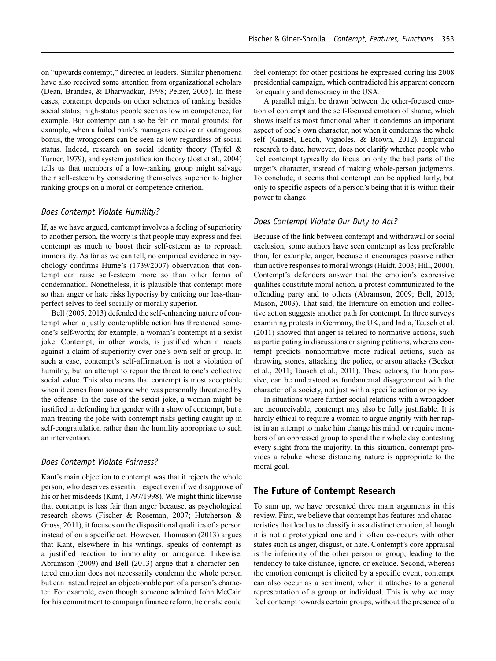on "upwards contempt," directed at leaders. Similar phenomena have also received some attention from organizational scholars (Dean, Brandes, & Dharwadkar, 1998; Pelzer, 2005). In these cases, contempt depends on other schemes of ranking besides social status; high-status people seen as low in competence, for example. But contempt can also be felt on moral grounds; for example, when a failed bank's managers receive an outrageous bonus, the wrongdoers can be seen as low regardless of social status. Indeed, research on social identity theory (Tajfel & Turner, 1979), and system justification theory (Jost et al., 2004) tells us that members of a low-ranking group might salvage their self-esteem by considering themselves superior to higher ranking groups on a moral or competence criterion.

#### *Does Contempt Violate Humility?*

If, as we have argued, contempt involves a feeling of superiority to another person, the worry is that people may express and feel contempt as much to boost their self-esteem as to reproach immorality. As far as we can tell, no empirical evidence in psychology confirms Hume's (1739/2007) observation that contempt can raise self-esteem more so than other forms of condemnation. Nonetheless, it is plausible that contempt more so than anger or hate risks hypocrisy by enticing our less-thanperfect selves to feel socially or morally superior.

Bell (2005, 2013) defended the self-enhancing nature of contempt when a justly contemptible action has threatened someone's self-worth; for example, a woman's contempt at a sexist joke. Contempt, in other words, is justified when it reacts against a claim of superiority over one's own self or group. In such a case, contempt's self-affirmation is not a violation of humility, but an attempt to repair the threat to one's collective social value. This also means that contempt is most acceptable when it comes from someone who was personally threatened by the offense. In the case of the sexist joke, a woman might be justified in defending her gender with a show of contempt, but a man treating the joke with contempt risks getting caught up in self-congratulation rather than the humility appropriate to such an intervention.

#### *Does Contempt Violate Fairness?*

Kant's main objection to contempt was that it rejects the whole person, who deserves essential respect even if we disapprove of his or her misdeeds (Kant, 1797/1998). We might think likewise that contempt is less fair than anger because, as psychological research shows (Fischer & Roseman, 2007; Hutcherson & Gross, 2011), it focuses on the dispositional qualities of a person instead of on a specific act. However, Thomason (2013) argues that Kant, elsewhere in his writings, speaks of contempt as a justified reaction to immorality or arrogance. Likewise, Abramson (2009) and Bell (2013) argue that a character-centered emotion does not necessarily condemn the whole person but can instead reject an objectionable part of a person's character. For example, even though someone admired John McCain for his commitment to campaign finance reform, he or she could

feel contempt for other positions he expressed during his 2008 presidential campaign, which contradicted his apparent concern for equality and democracy in the USA.

A parallel might be drawn between the other-focused emotion of contempt and the self-focused emotion of shame, which shows itself as most functional when it condemns an important aspect of one's own character, not when it condemns the whole self (Gausel, Leach, Vignoles, & Brown, 2012). Empirical research to date, however, does not clarify whether people who feel contempt typically do focus on only the bad parts of the target's character, instead of making whole-person judgments. To conclude, it seems that contempt can be applied fairly, but only to specific aspects of a person's being that it is within their power to change.

#### *Does Contempt Violate Our Duty to Act?*

Because of the link between contempt and withdrawal or social exclusion, some authors have seen contempt as less preferable than, for example, anger, because it encourages passive rather than active responses to moral wrongs (Haidt, 2003; Hill, 2000). Contempt's defenders answer that the emotion's expressive qualities constitute moral action, a protest communicated to the offending party and to others (Abramson, 2009; Bell, 2013; Mason, 2003). That said, the literature on emotion and collective action suggests another path for contempt. In three surveys examining protests in Germany, the UK, and India, Tausch et al. (2011) showed that anger is related to normative actions, such as participating in discussions or signing petitions, whereas contempt predicts nonnormative more radical actions, such as throwing stones, attacking the police, or arson attacks (Becker et al., 2011; Tausch et al., 2011). These actions, far from passive, can be understood as fundamental disagreement with the character of a society, not just with a specific action or policy.

In situations where further social relations with a wrongdoer are inconceivable, contempt may also be fully justifiable. It is hardly ethical to require a woman to argue angrily with her rapist in an attempt to make him change his mind, or require members of an oppressed group to spend their whole day contesting every slight from the majority. In this situation, contempt provides a rebuke whose distancing nature is appropriate to the moral goal.

#### **The Future of Contempt Research**

To sum up, we have presented three main arguments in this review. First, we believe that contempt has features and characteristics that lead us to classify it as a distinct emotion, although it is not a prototypical one and it often co-occurs with other states such as anger, disgust, or hate. Contempt's core appraisal is the inferiority of the other person or group, leading to the tendency to take distance, ignore, or exclude. Second, whereas the emotion contempt is elicited by a specific event, contempt can also occur as a sentiment, when it attaches to a general representation of a group or individual. This is why we may feel contempt towards certain groups, without the presence of a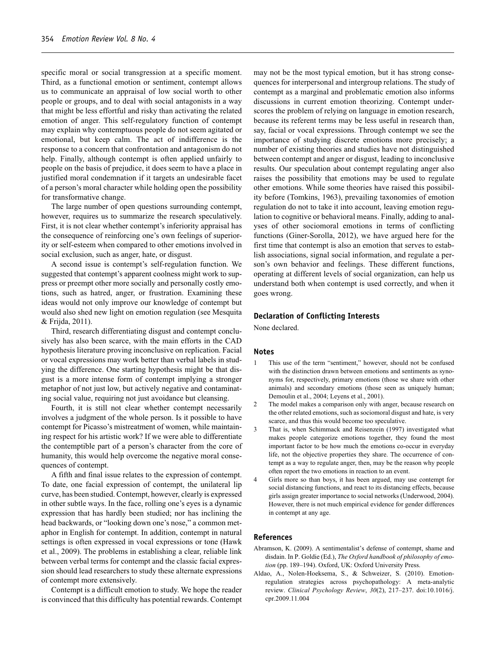specific moral or social transgression at a specific moment. Third, as a functional emotion or sentiment, contempt allows us to communicate an appraisal of low social worth to other people or groups, and to deal with social antagonists in a way that might be less effortful and risky than activating the related emotion of anger. This self-regulatory function of contempt may explain why contemptuous people do not seem agitated or emotional, but keep calm. The act of indifference is the response to a concern that confrontation and antagonism do not help. Finally, although contempt is often applied unfairly to people on the basis of prejudice, it does seem to have a place in justified moral condemnation if it targets an undesirable facet of a person's moral character while holding open the possibility for transformative change.

The large number of open questions surrounding contempt, however, requires us to summarize the research speculatively. First, it is not clear whether contempt's inferiority appraisal has the consequence of reinforcing one's own feelings of superiority or self-esteem when compared to other emotions involved in social exclusion, such as anger, hate, or disgust.

A second issue is contempt's self-regulation function. We suggested that contempt's apparent coolness might work to suppress or preempt other more socially and personally costly emotions, such as hatred, anger, or frustration. Examining these ideas would not only improve our knowledge of contempt but would also shed new light on emotion regulation (see Mesquita & Frijda, 2011).

Third, research differentiating disgust and contempt conclusively has also been scarce, with the main efforts in the CAD hypothesis literature proving inconclusive on replication. Facial or vocal expressions may work better than verbal labels in studying the difference. One starting hypothesis might be that disgust is a more intense form of contempt implying a stronger metaphor of not just low, but actively negative and contaminating social value, requiring not just avoidance but cleansing.

Fourth, it is still not clear whether contempt necessarily involves a judgment of the whole person. Is it possible to have contempt for Picasso's mistreatment of women, while maintaining respect for his artistic work? If we were able to differentiate the contemptible part of a person's character from the core of humanity, this would help overcome the negative moral consequences of contempt.

A fifth and final issue relates to the expression of contempt. To date, one facial expression of contempt, the unilateral lip curve, has been studied. Contempt, however, clearly is expressed in other subtle ways. In the face, rolling one's eyes is a dynamic expression that has hardly been studied; nor has inclining the head backwards, or "looking down one's nose," a common metaphor in English for contempt. In addition, contempt in natural settings is often expressed in vocal expressions or tone (Hawk et al., 2009). The problems in establishing a clear, reliable link between verbal terms for contempt and the classic facial expression should lead researchers to study these alternate expressions of contempt more extensively.

Contempt is a difficult emotion to study. We hope the reader is convinced that this difficulty has potential rewards. Contempt may not be the most typical emotion, but it has strong consequences for interpersonal and intergroup relations. The study of contempt as a marginal and problematic emotion also informs discussions in current emotion theorizing. Contempt underscores the problem of relying on language in emotion research, because its referent terms may be less useful in research than, say, facial or vocal expressions. Through contempt we see the importance of studying discrete emotions more precisely; a number of existing theories and studies have not distinguished between contempt and anger or disgust, leading to inconclusive results. Our speculation about contempt regulating anger also raises the possibility that emotions may be used to regulate other emotions. While some theories have raised this possibility before (Tomkins, 1963), prevailing taxonomies of emotion regulation do not to take it into account, leaving emotion regulation to cognitive or behavioral means. Finally, adding to analyses of other sociomoral emotions in terms of conflicting functions (Giner-Sorolla, 2012), we have argued here for the first time that contempt is also an emotion that serves to establish associations, signal social information, and regulate a person's own behavior and feelings. These different functions, operating at different levels of social organization, can help us understand both when contempt is used correctly, and when it goes wrong.

#### **Declaration of Conflicting Interests**

None declared.

#### **Notes**

- 1 This use of the term "sentiment," however, should not be confused with the distinction drawn between emotions and sentiments as synonyms for, respectively, primary emotions (those we share with other animals) and secondary emotions (those seen as uniquely human; Demoulin et al., 2004; Leyens et al., 2001).
- 2 The model makes a comparison only with anger, because research on the other related emotions, such as sociomoral disgust and hate, is very scarce, and thus this would become too speculative.
- 3 That is, when Schimmack and Reisenzein (1997) investigated what makes people categorize emotions together, they found the most important factor to be how much the emotions co-occur in everyday life, not the objective properties they share. The occurrence of contempt as a way to regulate anger, then, may be the reason why people often report the two emotions in reaction to an event.
- 4 Girls more so than boys, it has been argued, may use contempt for social distancing functions, and react to its distancing effects, because girls assign greater importance to social networks (Underwood, 2004). However, there is not much empirical evidence for gender differences in contempt at any age.

#### **References**

- Abramson, K. (2009). A sentimentalist's defense of contempt, shame and disdain. In P. Goldie (Ed.), *The Oxford handbook of philosophy of emotion* (pp. 189–194). Oxford, UK: Oxford University Press.
- Aldao, A., Nolen-Hoeksema, S., & Schweizer, S. (2010). Emotionregulation strategies across psychopathology: A meta-analytic review. *Clinical Psychology Review*, *30*(2), 217–237. doi:10.1016/j. cpr.2009.11.004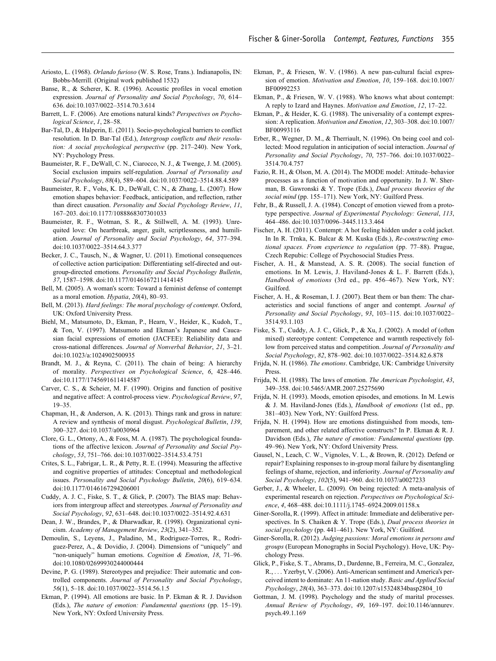- Ariosto, L. (1968). *Orlando furioso* (W. S. Rose, Trans.). Indianapolis, IN: Bobbs-Merrill. (Original work published 1532)
- Banse, R., & Scherer, K. R. (1996). Acoustic profiles in vocal emotion expression. *Journal of Personality and Social Psychology*, *70*, 614– 636. doi:10.1037/0022–3514.70.3.614
- Barrett, L. F. (2006). Are emotions natural kinds? *Perspectives on Psychological Science*, *1*, 28–58.
- Bar-Tal, D., & Halperin, E. (2011). Socio-psychological barriers to conflict resolution. In D. Bar-Tal (Ed.), *Intergroup conflicts and their resolution: A social psychological perspective* (pp. 217–240). New York, NY: Psychology Press.
- Baumeister, R. F., DeWall, C. N., Ciarocco, N. J., & Twenge, J. M. (2005). Social exclusion impairs self-regulation. *Journal of Personality and Social Psychology*, *88*(4), 589–604. doi:10.1037/0022–3514.88.4.589
- Baumeister, R. F., Vohs, K. D., DeWall, C. N., & Zhang, L. (2007). How emotion shapes behavior: Feedback, anticipation, and reflection, rather than direct causation. *Personality and Social Psychology Review*, *11*, 167–203. doi:10.1177/1088868307301033
- Baumeister, R. F., Wotman, S. R., & Stillwell, A. M. (1993). Unrequited love: On heartbreak, anger, guilt, scriptlessness, and humiliation. *Journal of Personality and Social Psychology*, *64*, 377–394. doi:10.1037/0022–3514.64.3.377
- Becker, J. C., Tausch, N., & Wagner, U. (2011). Emotional consequences of collective action participation: Differentiating self-directed and outgroup-directed emotions. *Personality and Social Psychology Bulletin*, *37*, 1587–1598. doi:10.1177/0146167211414145
- Bell, M. (2005). A woman's scorn: Toward a feminist defense of contempt as a moral emotion. *Hypatia*, *20*(4), 80–93.
- Bell, M. (2013). *Hard feelings: The moral psychology of contempt*. Oxford, UK: Oxford University Press.
- Biehl, M., Matsumoto, D., Ekman, P., Hearn, V., Heider, K., Kudoh, T., & Ton, V. (1997). Matsumoto and Ekman's Japanese and Caucasian facial expressions of emotion (JACFEE): Reliability data and cross-national differences. *Journal of Nonverbal Behavior*, *21*, 3–21. doi:10.1023/a:1024902500935
- Brandt, M. J., & Reyna, C. (2011). The chain of being: A hierarchy of morality. *Perspectives on Psychological Science*, *6*, 428–446. doi:10.1177/1745691611414587
- Carver, C. S., & Scheier, M. F. (1990). Origins and function of positive and negative affect: A control-process view. *Psychological Review*, *97*, 19–35.
- Chapman, H., & Anderson, A. K. (2013). Things rank and gross in nature: A review and synthesis of moral disgust. *Psychological Bulletin*, *139*, 300–327. doi:10.1037/a0030964
- Clore, G. L., Ortony, A., & Foss, M. A. (1987). The psychological foundations of the affective lexicon. *Journal of Personality and Social Psychology*, *53*, 751–766. doi:10.1037/0022–3514.53.4.751
- Crites, S. L., Fabrigar, L. R., & Petty, R. E. (1994). Measuring the affective and cognitive properties of attitudes: Conceptual and methodological issues. *Personality and Social Psychology Bulletin*, *20*(6), 619–634. doi:10.1177/0146167294206001
- Cuddy, A. J. C., Fiske, S. T., & Glick, P. (2007). The BIAS map: Behaviors from intergroup affect and stereotypes. *Journal of Personality and Social Psychology*, *92*, 631–648. doi:10.1037/0022–3514.92.4.631
- Dean, J. W., Brandes, P., & Dharwadkar, R. (1998). Organizational cynicism. *Academy of Management Review*, *23*(2), 341–352.
- Demoulin, S., Leyens, J., Paladino, M., Rodriguez-Torres, R., Rodriguez-Perez, A., & Dovidio, J. (2004). Dimensions of "uniquely" and "non-uniquely" human emotions. *Cognition & Emotion*, *18*, 71–96. doi:10.1080/02699930244000444
- Devine, P. G. (1989). Stereotypes and prejudice: Their automatic and controlled components. *Journal of Personality and Social Psychology*, *56*(1), 5–18. doi:10.1037/0022–3514.56.1.5
- Ekman, P. (1994). All emotions are basic. In P. Ekman & R. J. Davidson (Eds.), *The nature of emotion: Fundamental questions* (pp. 15–19). New York, NY: Oxford University Press.
- Ekman, P., & Friesen, W. V. (1986). A new pan-cultural facial expression of emotion. *Motivation and Emotion*, *10*, 159–168. doi:10.1007/ BF00992253
- Ekman, P., & Friesen, W. V. (1988). Who knows what about contempt: A reply to Izard and Haynes. *Motivation and Emotion*, *12*, 17–22.
- Ekman, P., & Heider, K. G. (1988). The universality of a contempt expression: A replication. *Motivation and Emotion*, *12*, 303–308. doi:10.1007/ BF00993116
- Erber, R., Wegner, D. M., & Therriault, N. (1996). On being cool and collected: Mood regulation in anticipation of social interaction. *Journal of Personality and Social Psychology*, *70*, 757–766. doi:10.1037/0022– 3514.70.4.757
- Fazio, R. H., & Olson, M. A. (2014). The MODE model: Attitude–behavior processes as a function of motivation and opportunity. In J. W. Sherman, B. Gawronski & Y. Trope (Eds.), *Dual process theories of the social mind* (pp. 155–171). New York, NY: Guilford Press.
- Fehr, B., & Russell, J. A. (1984). Concept of emotion viewed from a prototype perspective. *Journal of Experimental Psychology: General*, *113*, 464–486. doi:10.1037/0096–3445.113.3.464
- Fischer, A. H. (2011). Contempt: A hot feeling hidden under a cold jacket. In In R. Trnka, K. Balcar & M. Kuska (Eds.), *Re-constructing emotional spaces. From experience to regulation* (pp. 77–88). Prague, Czech Repubic: College of Psychosocial Studies Press.
- Fischer, A. H., & Manstead, A. S. R. (2008). The social function of emotions. In M. Lewis, J. Haviland-Jones & L. F. Barrett (Eds.), *Handbook of emotions* (3rd ed., pp. 456–467). New York, NY: Guilford.
- Fischer, A. H., & Roseman, I. J. (2007). Beat them or ban them: The characteristics and social functions of anger and contempt. *Journal of Personality and Social Psychology*, *93*, 103–115. doi:10.1037/0022– 3514.93.1.103
- Fiske, S. T., Cuddy, A. J. C., Glick, P., & Xu, J. (2002). A model of (often mixed) stereotype content: Competence and warmth respectively follow from perceived status and competition. *Journal of Personality and Social Psychology*, *82*, 878–902. doi:10.1037/0022–3514.82.6.878
- Frijda, N. H. (1986). *The emotions*. Cambridge, UK: Cambridge University Press.
- Frijda, N. H. (1988). The laws of emotion. *The American Psychologist*, *43*, 349–358. doi:10.5465/AMR.2007.25275690
- Frijda, N. H. (1993). Moods, emotion episodes, and emotions. In M. Lewis & J. M. Haviland-Jones (Eds.), *Handbook of emotions* (1st ed., pp. 381–403). New York, NY: Guilford Press.
- Frijda, N. H. (1994). How are emotions distinguished from moods, temparement, and other related affective constructs? In P. Ekman & R. J. Davidson (Eds.), *The nature of emotion: Fundamental questions* (pp. 49–96). New York, NY: Oxford University Press.
- Gausel, N., Leach, C. W., Vignoles, V. L., & Brown, R. (2012). Defend or repair? Explaining responses to in-group moral failure by disentangling feelings of shame, rejection, and inferiority. *Journal of Personality and Social Psychology*, *102*(5), 941–960. doi:10.1037/a0027233
- Gerber, J., & Wheeler, L. (2009). On being rejected: A meta-analysis of experimental research on rejection. *Perspectives on Psychological Science*, *4*, 468–488. doi:10.1111/j.1745–6924.2009.01158.x
- Giner-Sorolla, R. (1999). Affect in attitude: Immediate and deliberative perspectives. In S. Chaiken & Y. Trope (Eds.), *Dual process theories in social psychology* (pp. 441–461). New York, NY: Guilford.
- Giner-Sorolla, R. (2012). *Judging passions: Moral emotions in persons and groups* (European Monographs in Social Psychology). Hove, UK: Psychology Press.
- Glick, P., Fiske, S. T., Abrams, D., Dardenne, B., Ferreira, M. C., Gonzalez, R., . . . Yzerbyt, V. (2006). Anti-American sentiment and America's perceived intent to dominate: An 11-nation study. *Basic and Applied Social Psychology*, *28*(4), 363–373. doi:10.1207/s15324834basp2804\_10
- Gottman, J. M. (1998). Psychology and the study of marital processes. *Annual Review of Psychology*, *49*, 169–197. doi:10.1146/annurev. psych.49.1.169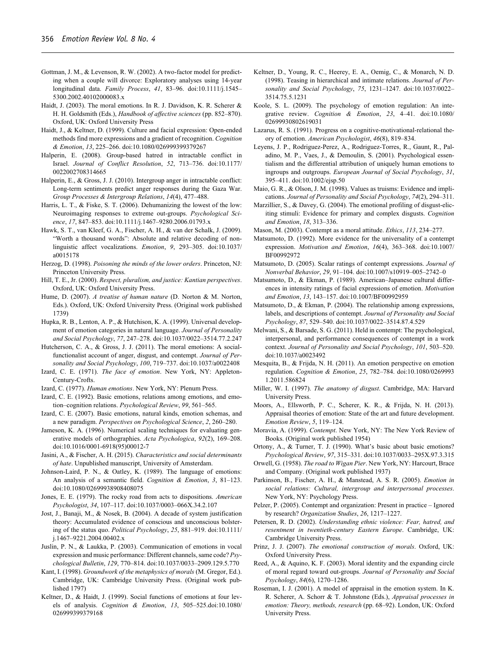- Gottman, J. M., & Levenson, R. W. (2002). A two-factor model for predicting when a couple will divorce: Exploratory analyses using 14-year longitudinal data. *Family Process*, *41*, 83–96. doi:10.1111/j.1545– 5300.2002.40102000083.x
- Haidt, J. (2003). The moral emotions. In R. J. Davidson, K. R. Scherer & H. H. Goldsmith (Eds.), *Handbook of affective sciences* (pp. 852–870). Oxford, UK: Oxford University Press
- Haidt, J., & Keltner, D. (1999). Culture and facial expression: Open-ended methods find more expressions and a gradient of recognition. *Cognition & Emotion*, *13*, 225–266. doi:10.1080/026999399379267
- Halperin, E. (2008). Group-based hatred in intractable conflict in Israel. *Journal of Conflict Resolution*, *52*, 713–736. doi:10.1177/ 0022002708314665
- Halperin, E., & Gross, J. J. (2010). Intergroup anger in intractable conflict: Long-term sentiments predict anger responses during the Gaza War. *Group Processes & Intergroup Relations*, *14*(4), 477–488.
- Harris, L. T., & Fiske, S. T. (2006). Dehumanizing the lowest of the low: Neuroimaging responses to extreme out-groups. *Psychological Science*, *17*, 847–853. doi:10.1111/j.1467–9280.2006.01793.x
- Hawk, S. T., van Kleef, G. A., Fischer, A. H., & van der Schalk, J. (2009). "Worth a thousand words": Absolute and relative decoding of nonlinguistic affect vocalizations. *Emotion*, *9*, 293–305. doi:10.1037/ a0015178
- Herzog, D. (1998). *Poisoning the minds of the lower orders*. Princeton, NJ: Princeton University Press.
- Hill, T. E., Jr. (2000). *Respect, pluralism, and justice: Kantian perspectives*. Oxford, UK: Oxford University Press.
- Hume, D. (2007). *A treatise of human nature* (D. Norton & M. Norton, Eds.). Oxford, UK: Oxford University Press. (Original work published 1739)
- Hupka, R. B., Lenton, A. P., & Hutchison, K. A. (1999). Universal development of emotion categories in natural language. *Journal of Personality and Social Psychology*, *77*, 247–278. doi:10.1037/0022–3514.77.2.247
- Hutcherson, C. A., & Gross, J. J. (2011). The moral emotions: A socialfunctionalist account of anger, disgust, and contempt. *Journal of Personality and Social Psychology*, *100*, 719–737. doi:10.1037/a0022408
- Izard, C. E. (1971). *The face of emotion*. New York, NY: Appleton-Century-Crofts.

Izard, C. (1977). *Human emotions*. New York, NY: Plenum Press.

- Izard, C. E. (1992). Basic emotions, relations among emotions, and emotion–cognition relations. *Psychological Review*, *99*, 561–565.
- Izard, C. E. (2007). Basic emotions, natural kinds, emotion schemas, and a new paradigm. *Perspectives on Psychological Science*, *2*, 260–280.
- Jameson, K. A. (1996). Numerical scaling techniques for evaluating generative models of orthographies. *Acta Psychologica*, *92*(2), 169–208. doi:10.1016/0001-6918(95)00012-7
- Jasini, A., & Fischer, A. H. (2015). *Characteristics and social determinants of hate*. Unpublished manuscript, University of Amsterdam.
- Johnson-Laird, P. N., & Oatley, K. (1989). The language of emotions: An analysis of a semantic field. *Cognition & Emotion*, *3*, 81–123. doi:10.1080/02699938908408075
- Jones, E. E. (1979). The rocky road from acts to dispositions. *American Psychologist*, *34*, 107–117. doi:10.1037/0003–066X.34.2.107
- Jost, J., Banaji, M., & Nosek, B. (2004). A decade of system justification theory: Accumulated evidence of conscious and unconscious bolstering of the status quo. *Political Psychology*, *25*, 881–919. doi:10.1111/ j.1467–9221.2004.00402.x
- Juslin, P. N., & Laukka, P. (2003). Communication of emotions in vocal expression and music performance: Different channels, same code? *Psychological Bulletin*, *129*, 770–814. doi:10.1037/0033–2909.129.5.770
- Kant, I. (1998). *Groundwork of the metaphysics of morals* (M. Gregor, Ed.). Cambridge, UK: Cambridge University Press. (Original work published 1797)
- Keltner, D., & Haidt, J. (1999). Social functions of emotions at four levels of analysis. *Cognition & Emotion*, *13*, 505–525.doi:10.1080/ 026999399379168
- Keltner, D., Young, R. C., Heerey, E. A., Oemig, C., & Monarch, N. D. (1998). Teasing in hierarchical and intimate relations. *Journal of Personality and Social Psychology*, *75*, 1231–1247. doi:10.1037/0022– 3514.75.5.1231
- Koole, S. L. (2009). The psychology of emotion regulation: An integrative review. *Cognition & Emotion*, *23*, 4–41. doi:10.1080/ 02699930802619031
- Lazarus, R. S. (1991). Progress on a cognitive-motivational-relational theory of emotion. *American Psychologist*, *46*(8), 819–834.
- Leyens, J. P., Rodriguez-Perez, A., Rodriguez-Torres, R., Gaunt, R., Paladino, M. P., Vaes, J., & Demoulin, S. (2001). Psychological essentialism and the differential attribution of uniquely human emotions to ingroups and outgroups. *European Journal of Social Psychology*, *31*, 395–411. doi:10.1002/ejsp.50
- Maio, G. R., & Olson, J. M. (1998). Values as truisms: Evidence and implications. *Journal of Personality and Social Psychology*, *74*(2), 294–311.
- Marzillier, S., & Davey, G. (2004). The emotional profiling of disgust-eliciting stimuli: Evidence for primary and complex disgusts. *Cognition and Emotion*, *18*, 313–336.
- Mason, M. (2003). Contempt as a moral attitude. *Ethics*, *113*, 234–277.
- Matsumoto, D. (1992). More evidence for the universality of a contempt expression. *Motivation and Emotion*, *16*(4), 363–368. doi:10.1007/ BF00992972
- Matsumoto, D. (2005). Scalar ratings of contempt expressions. *Journal of Nonverbal Behavior*, *29*, 91–104. doi:10.1007/s10919–005–2742–0
- Matsumoto, D., & Ekman, P. (1989). American–Japanese cultural differences in intensity ratings of facial expressions of emotion. *Motivation and Emotion*, *13*, 143–157. doi:10.1007/BF00992959
- Matsumoto, D., & Ekman, P. (2004). The relationship among expressions, labels, and descriptions of contempt. *Journal of Personality and Social Psychology*, *87*, 529–540. doi:10.1037/0022–3514.87.4.529
- Melwani, S., & Barsade, S. G. (2011). Held in contempt: The psychological, interpersonal, and performance consequences of contempt in a work context. *Journal of Personality and Social Psychology*, *101*, 503–520. doi:10.1037/a0023492
- Mesquita, B., & Frijda, N. H. (2011). An emotion perspective on emotion regulation. *Cognition & Emotion*, *25*, 782–784. doi:10.1080/0269993 1.2011.586824
- Miller, W. I. (1997). *The anatomy of disgust*. Cambridge, MA: Harvard University Press.
- Moors, A., Ellsworth, P. C., Scherer, K. R., & Frijda, N. H. (2013). Appraisal theories of emotion: State of the art and future development. *Emotion Review*, *5*, 119–124.
- Moravia, A. (1999). *Contempt*. New York, NY: The New York Review of Books. (Original work published 1954)
- Ortony, A., & Turner, T. J. (1990). What's basic about basic emotions? *Psychological Review*, *97*, 315–331. doi:10.1037/0033–295X.97.3.315
- Orwell, G. (1958). *The road to Wigan Pier*. New York, NY: Harcourt, Brace and Company. (Original work published 1937)
- Parkinson, B., Fischer, A. H., & Manstead, A. S. R. (2005). *Emotion in social relations: Cultural, intergroup and interpersonal processes*. New York, NY: Psychology Press.
- Pelzer, P. (2005). Contempt and organization: Present in practice Ignored by research? *Organization Studies*, *26*, 1217–1227.
- Petersen, R. D. (2002). *Understanding ethnic violence: Fear, hatred, and resentment in twentieth-century Eastern Europe*. Cambridge, UK: Cambridge University Press.
- Prinz, J. J. (2007). *The emotional construction of morals*. Oxford, UK: Oxford University Press.
- Reed, A., & Aquino, K. F. (2003). Moral identity and the expanding circle of moral regard toward out-groups. *Journal of Personality and Social Psychology*, *84*(6), 1270–1286.
- Roseman, I. J. (2001). A model of appraisal in the emotion system. In K. R. Scherer, A. Schorr & T. Johnstone (Eds.), *Appraisal processes in emotion: Theory, methods, research* (pp. 68–92). London, UK: Oxford University Press.